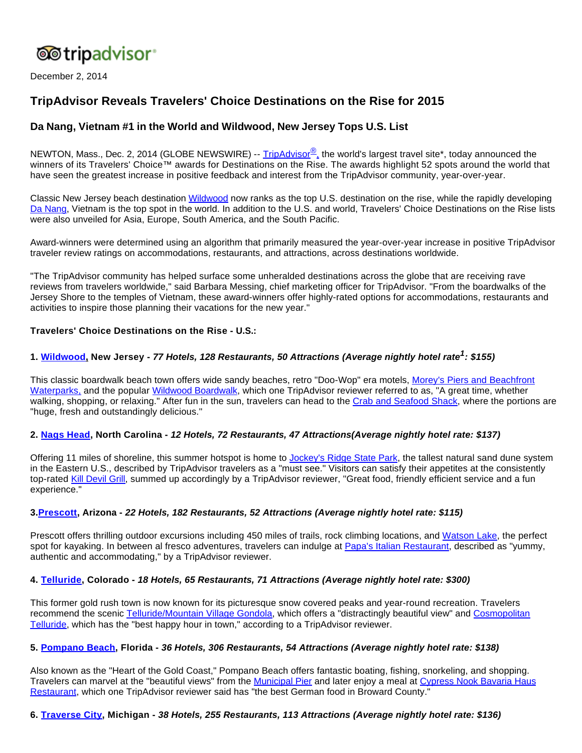

December 2, 2014

# **TripAdvisor Reveals Travelers' Choice Destinations on the Rise for 2015**

# **Da Nang, Vietnam #1 in the World and Wildwood, New Jersey Tops U.S. List**

NEWTON, Mass., Dec. 2, 2014 (GLOBE NEWSWIRE) -- [TripAdvisor](http://www.globenewswire.com/newsroom/ctr?d=10110464&l=1&a=TripAdvisor%C2%AE%2C&u=http%3A%2F%2Fwww.tripadvisor.com%2F)<sup>®</sup>, the world's largest travel site\*, today announced the winners of its Travelers' Choice™ awards for Destinations on the Rise. The awards highlight 52 spots around the world that have seen the greatest increase in positive feedback and interest from the TripAdvisor community, year-over-year.

Classic New Jersey beach destination [Wildwood](http://www.globenewswire.com/newsroom/ctr?d=10110464&l=2&a=Wildwood&u=http%3A%2F%2Fwww.tripadvisor.com%2FTourism-g46931-Wildwood_New_Jersey-Vacations.html) now ranks as the top U.S. destination on the rise, while the rapidly developing [Da Nang](http://www.globenewswire.com/newsroom/ctr?d=10110464&l=2&a=Da%20Nang&u=http%3A%2F%2Fwww.tripadvisor.com%2FTourism-g298085-Da_Nang_Quang_Nam_Province-Vacations.html), Vietnam is the top spot in the world. In addition to the U.S. and world, Travelers' Choice Destinations on the Rise lists were also unveiled for Asia, Europe, South America, and the South Pacific.

Award-winners were determined using an algorithm that primarily measured the year-over-year increase in positive TripAdvisor traveler review ratings on accommodations, restaurants, and attractions, across destinations worldwide.

"The TripAdvisor community has helped surface some unheralded destinations across the globe that are receiving rave reviews from travelers worldwide," said Barbara Messing, chief marketing officer for TripAdvisor. "From the boardwalks of the Jersey Shore to the temples of Vietnam, these award-winners offer highly-rated options for accommodations, restaurants and activities to inspire those planning their vacations for the new year."

# **Travelers' Choice Destinations on the Rise - U.S.:**

# **1. [Wildwood](http://www.globenewswire.com/newsroom/ctr?d=10110464&l=6&a=Wildwood&u=http%3A%2F%2Fwww.tripadvisor.com%2FTourism-g46931-Wildwood_New_Jersey-Vacations.html), New Jersey - 77 Hotels, 128 Restaurants, 50 Attractions (Average nightly hotel rate<sup>1</sup> : \$155)**

This classic boardwalk beach town offers wide sandy beaches, retro "Doo-Wop" era motels, [Morey's Piers and Beachfront](http://www.globenewswire.com/newsroom/ctr?d=10110464&l=7&a=Morey%27s%20Piers%20and%20Beachfront%20Waterparks%2C&u=http%3A%2F%2Fwww.tripadvisor.com%2FAttraction_Review-g46931-d673372-Reviews-Morey_s_Piers_and_Beachfront_Waterparks-Wildwood_New_Jersey.html)  [Waterparks,](http://www.globenewswire.com/newsroom/ctr?d=10110464&l=7&a=Morey%27s%20Piers%20and%20Beachfront%20Waterparks%2C&u=http%3A%2F%2Fwww.tripadvisor.com%2FAttraction_Review-g46931-d673372-Reviews-Morey_s_Piers_and_Beachfront_Waterparks-Wildwood_New_Jersey.html) and the popular [Wildwood Boardwalk,](http://www.globenewswire.com/newsroom/ctr?d=10110464&l=7&a=Wildwood%20Boardwalk&u=http%3A%2F%2Fwww.tripadvisor.com%2FAttraction_Review-g46931-d1142496-Reviews-Wildwood_Boardwalk-Wildwood_New_Jersey.html) which one TripAdvisor reviewer referred to as, "A great time, whether walking, shopping, or relaxing." After fun in the sun, travelers can head to the [Crab and Seafood Shack,](http://www.globenewswire.com/newsroom/ctr?d=10110464&l=7&a=Crab%20and%20Seafood%20Shack&u=http%3A%2F%2Fwww.tripadvisor.com%2FRestaurant_Review-g46931-d2212375-Reviews-Crab_and_Seafood_Shack-Wildwood_New_Jersey.html) where the portions are "huge, fresh and outstandingly delicious."

#### **2. [Nags Head](http://www.globenewswire.com/newsroom/ctr?d=10110464&l=8&a=Nags%20Head&u=http%3A%2F%2Fwww.tripadvisor.com%2FTourism-g49382-Nags_Head_Outer_Banks_North_Carolina-Vacations.html), North Carolina - 12 Hotels, 72 Restaurants, 47 Attractions(Average nightly hotel rate: \$137)**

Offering 11 miles of shoreline, this summer hotspot is home to [Jockey's Ridge State Park](http://www.globenewswire.com/newsroom/ctr?d=10110464&l=9&a=Jockey%27s%20Ridge%20State%20Park&u=http%3A%2F%2Fwww.tripadvisor.com%2FAttraction_Review-g49382-d136522-Reviews-Jockey_s_Ridge_State_Park-Nags_Head_Outer_Banks_North_Carolina.html), the tallest natural sand dune system in the Eastern U.S., described by TripAdvisor travelers as a "must see." Visitors can satisfy their appetites at the consistently top-rated [Kill Devil Grill,](http://www.globenewswire.com/newsroom/ctr?d=10110464&l=9&a=Kill%20Devil%20Grill&u=http%3A%2F%2Fwww.tripadvisor.com%2FRestaurant_Review-g49256-d414376-Reviews-Kill_Devil_Grill-Kill_Devil_Hills_Outer_Banks_North_Carolina.html%23REVIEWS) summed up accordingly by a TripAdvisor reviewer, "Great food, friendly efficient service and a fun experience."

#### **3[.Prescott](http://www.globenewswire.com/newsroom/ctr?d=10110464&l=10&a=Prescott&u=http%3A%2F%2Fwww.tripadvisor.com%2FTourism-g31323-Prescott_Arizona-Vacations.html), Arizona - 22 Hotels, 182 Restaurants, 52 Attractions (Average nightly hotel rate: \$115)**

Prescott offers thrilling outdoor excursions including 450 miles of trails, rock climbing locations, and [Watson Lake](http://www.globenewswire.com/newsroom/ctr?d=10110464&l=11&a=Watson%20Lake&u=http%3A%2F%2Fwww.tripadvisor.com%2FAttraction_Review-g31323-d2069644-Reviews-Watson_Lake-Prescott_Arizona.html), the perfect spot for kayaking. In between al fresco adventures, travelers can indulge at [Papa's Italian Restaurant,](http://www.globenewswire.com/newsroom/ctr?d=10110464&l=11&a=Papa%27s%20Italian%20Restaurant&u=http%3A%2F%2Fwww.tripadvisor.com%2FRestaurant_Review-g31323-d1508086-Reviews-Papa_s_Italian_Restaurant-Prescott_Arizona.html) described as "yummy, authentic and accommodating," by a TripAdvisor reviewer.

#### **4. [Telluride](http://www.globenewswire.com/newsroom/ctr?d=10110464&l=12&a=Telluride&u=http%3A%2F%2Fwww.tripadvisor.com%2FTourism-g33667-Telluride_Colorado-Vacations.html), Colorado - 18 Hotels, 65 Restaurants, 71 Attractions (Average nightly hotel rate: \$300)**

This former gold rush town is now known for its picturesque snow covered peaks and year-round recreation. Travelers recommend the scenic [Telluride/Mountain Village Gondola,](http://www.globenewswire.com/newsroom/ctr?d=10110464&l=13&a=Telluride%2FMountain%20Village%20Gondola&u=http%3A%2F%2Fwww.tripadvisor.com%2FAttraction_Review-g33667-d2305408-Reviews-Telluride_Mountain_Village_gondola-Telluride_Colorado.html) which offers a "distractingly beautiful view" and [Cosmopolitan](http://www.globenewswire.com/newsroom/ctr?d=10110464&l=13&a=Cosmopolitan%20Telluride&u=http%3A%2F%2Fwww.tripadvisor.com%2FRestaurant_Review-g33667-d1390687-Reviews-Cosmopolitan_Telluride-Telluride_Colorado.html)  [Telluride](http://www.globenewswire.com/newsroom/ctr?d=10110464&l=13&a=Cosmopolitan%20Telluride&u=http%3A%2F%2Fwww.tripadvisor.com%2FRestaurant_Review-g33667-d1390687-Reviews-Cosmopolitan_Telluride-Telluride_Colorado.html), which has the "best happy hour in town," according to a TripAdvisor reviewer.

#### **5. [Pompano Beach](http://www.globenewswire.com/newsroom/ctr?d=10110464&l=14&a=Pompano%20Beach&u=http%3A%2F%2Fwww.tripadvisor.com%2FTourism-g34571-Pompano_Beach_Florida-Vacations.html), Florida - 36 Hotels, 306 Restaurants, 54 Attractions (Average nightly hotel rate: \$138)**

Also known as the "Heart of the Gold Coast," Pompano Beach offers fantastic boating, fishing, snorkeling, and shopping. Travelers can marvel at the "beautiful views" from the [Municipal Pier](http://www.globenewswire.com/newsroom/ctr?d=10110464&l=15&a=Municipal%20Pier&u=http%3A%2F%2Fwww.tripadvisor.com%2FAttraction_Review-g34571-d3477732-Reviews-Pompano_Municipal_Pier-Pompano_Beach_Florida.html) and later enjoy a meal at [Cypress Nook Bavaria Haus](http://www.globenewswire.com/newsroom/ctr?d=10110464&l=15&a=Cypress%20Nook%20Bavaria%20Haus%20Restaurant&u=http%3A%2F%2Fwww.tripadvisor.com%2FRestaurant_Review-g34571-d474211-Reviews-Cypress_Nook_Bavaria_Haus_Restaurant-Pompano_Beach_Florida.html)  [Restaurant,](http://www.globenewswire.com/newsroom/ctr?d=10110464&l=15&a=Cypress%20Nook%20Bavaria%20Haus%20Restaurant&u=http%3A%2F%2Fwww.tripadvisor.com%2FRestaurant_Review-g34571-d474211-Reviews-Cypress_Nook_Bavaria_Haus_Restaurant-Pompano_Beach_Florida.html) which one TripAdvisor reviewer said has "the best German food in Broward County."

#### **6. [Traverse City,](http://www.globenewswire.com/newsroom/ctr?d=10110464&l=16&a=Traverse%20City&u=http%3A%2F%2Fwww.tripadvisor.com%2FTourism-g42758-Traverse_City_Grand_Traverse_County_Michigan-Vacations.html) Michigan - 38 Hotels, 255 Restaurants, 113 Attractions (Average nightly hotel rate: \$136)**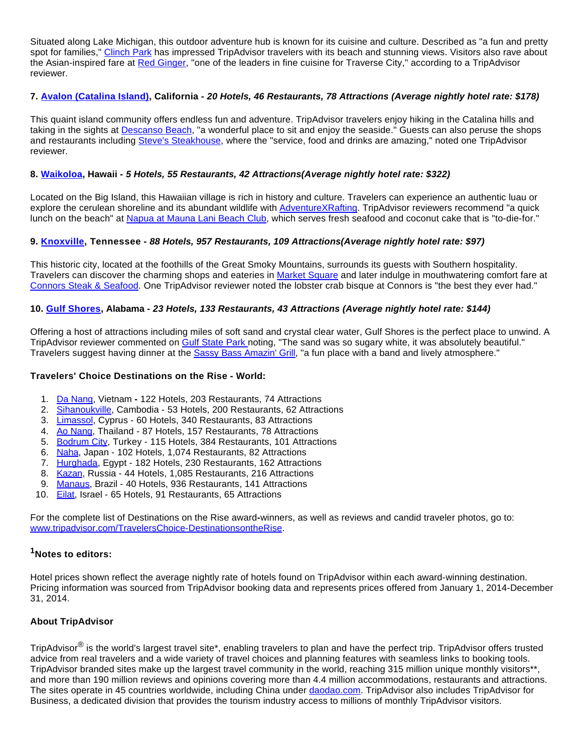Situated along Lake Michigan, this outdoor adventure hub is known for its cuisine and culture. Described as "a fun and pretty spot for families," [Clinch Park](http://www.globenewswire.com/newsroom/ctr?d=10110464&l=17&a=Clinch%20Park&u=http%3A%2F%2Fwww.tripadvisor.com%2FAttraction_Review-g42758-d144455-Reviews-or10-Clinch_Park-Traverse_City_Grand_Traverse_County_Michigan.html%23REVIEWS) has impressed TripAdvisor travelers with its beach and stunning views. Visitors also rave about the Asian-inspired fare at [Red Ginger,](http://www.globenewswire.com/newsroom/ctr?d=10110464&l=17&a=Red%20Ginger&u=http%3A%2F%2Fwww.tripadvisor.com%2FRestaurant_Review-g42758-d1048603-Reviews-or20-Red_Ginger-Traverse_City_Grand_Traverse_County_Michigan.html%23REVIEWS) "one of the leaders in fine cuisine for Traverse City," according to a TripAdvisor reviewer.

# **7. [Avalon \(Catalina Island\),](http://www.globenewswire.com/newsroom/ctr?d=10110464&l=18&a=Avalon%20%28Catalina%20Island%29&u=http%3A%2F%2Fwww.tripadvisor.com%2FTourism-g29121-Avalon_Catalina_Island_California-Vacations.html) California - 20 Hotels, 46 Restaurants, 78 Attractions (Average nightly hotel rate: \$178)**

This quaint island community offers endless fun and adventure. TripAdvisor travelers enjoy hiking in the Catalina hills and taking in the sights at [Descanso Beach,](http://www.globenewswire.com/newsroom/ctr?d=10110464&l=19&a=Descanso%20Beach&u=http%3A%2F%2Fwww.tripadvisor.com%2FAttraction_Review-g29121-d652940-Reviews-Descanso_Beach-Avalon_Catalina_Island_California.html) "a wonderful place to sit and enjoy the seaside." Guests can also peruse the shops and restaurants including [Steve's Steakhouse](http://www.globenewswire.com/newsroom/ctr?d=10110464&l=19&a=Steve%27s%20Steakhouse&u=http%3A%2F%2Fwww.tripadvisor.com%2FRestaurant_Review-g29121-d518873-Reviews-Steve_s_Steakhouse-Avalon_Catalina_Island_California.html), where the "service, food and drinks are amazing," noted one TripAdvisor reviewer.

# **8. [Waikoloa,](http://www.globenewswire.com/newsroom/ctr?d=10110464&l=20&a=Waikoloa&u=http%3A%2F%2Fwww.tripadvisor.com%2FTourism-g60608-Waikoloa_Kohala_Coast_Island_of_Hawaii_Hawaii-Vacations.html) Hawaii - 5 Hotels, 55 Restaurants, 42 Attractions(Average nightly hotel rate: \$322)**

Located on the Big Island, this Hawaiian village is rich in history and culture. Travelers can experience an authentic luau or explore the cerulean shoreline and its abundant wildlife with [AdventureXRafting](http://www.globenewswire.com/newsroom/ctr?d=10110464&l=21&a=AdventureXRafting&u=http%3A%2F%2Fwww.tripadvisor.com%2FAttraction_Review-g60608-d2085102-Reviews-AdventureXRafting-Waikoloa_Kohala_Coast_Island_of_Hawaii_Hawaii.html). TripAdvisor reviewers recommend "a quick lunch on the beach" at [Napua at Mauna Lani Beach Club](http://www.globenewswire.com/newsroom/ctr?d=10110464&l=21&a=Napua%20at%20Mauna%20Lani%20Beach%20Club&u=http%3A%2F%2Fwww.tripadvisor.com%2FRestaurant_Review-g60608-d2017349-Reviews-Napua_at_Mauna_Lani_Beach_Club-Waikoloa_Kohala_Coast_Island_of_Hawaii_Hawaii.html), which serves fresh seafood and coconut cake that is "to-die-for."

# **9. [Knoxville,](http://www.globenewswire.com/newsroom/ctr?d=10110464&l=22&a=Knoxville&u=http%3A%2F%2Fwww.tripadvisor.com%2FTourism-g55138-Knoxville_Tennessee-Vacations.html) Tennessee - 88 Hotels, 957 Restaurants, 109 Attractions(Average nightly hotel rate: \$97)**

This historic city, located at the foothills of the Great Smoky Mountains, surrounds its guests with Southern hospitality. Travelers can discover the charming shops and eateries in [Market Square](http://www.globenewswire.com/newsroom/ctr?d=10110464&l=23&a=Market%20Square&u=http%3A%2F%2Fwww.tripadvisor.com%2FAttraction_Review-g55138-d284327-Reviews-Market_Square-Knoxville_Tennessee.html) and later indulge in mouthwatering comfort fare at [Connors Steak & Seafood.](http://www.globenewswire.com/newsroom/ctr?d=10110464&l=23&a=Connors%20Steak%20%26%20Seafood&u=http%3A%2F%2Fwww.tripadvisor.com%2FRestaurant_Review-g55138-d594071-Reviews-Connors_Steak_Seafood-Knoxville_Tennessee.html) One TripAdvisor reviewer noted the lobster crab bisque at Connors is "the best they ever had."

# **10. [Gulf Shores](http://www.globenewswire.com/newsroom/ctr?d=10110464&l=24&a=Gulf%20Shores&u=http%3A%2F%2Fwww.tripadvisor.com%2FTourism-g30582-Gulf_Shores_Alabama-Vacations.html), Alabama - 23 Hotels, 133 Restaurants, 43 Attractions (Average nightly hotel rate: \$144)**

Offering a host of attractions including miles of soft sand and crystal clear water, Gulf Shores is the perfect place to unwind. A TripAdvisor reviewer commented on [Gulf State Park n](http://www.globenewswire.com/newsroom/ctr?d=10110464&l=25&a=Gulf%20State%20Park%20&u=http%3A%2F%2Fwww.tripadvisor.com%2FAttraction_Review-g30582-d143881-Reviews-or10-Gulf_State_Park-Gulf_Shores_Alabama.html%23REVIEWS)oting, "The sand was so sugary white, it was absolutely beautiful." Travelers suggest having dinner at the [Sassy Bass Amazin' Grill,](http://www.globenewswire.com/newsroom/ctr?d=10110464&l=25&a=Sassy%20Bass%20Amazin%27%20Grill&u=http%3A%2F%2Fwww.tripadvisor.com%2FRestaurant_Review-g30582-d4025355-Reviews-Sassy_Bass_Amazin_Grill-Gulf_Shores_Alabama.html) "a fun place with a band and lively atmosphere."

# **Travelers' Choice Destinations on the Rise - World:**

- 1. [Da Nang,](http://www.globenewswire.com/newsroom/ctr?d=10110464&l=26&a=Da%20Nang&u=http%3A%2F%2Fwww.tripadvisor.com%2FTourism-g298085-Da_Nang_Quang_Nam_Province-Vacations.html) Vietnam **-** 122 Hotels, 203 Restaurants, 74 Attractions
- 2. [Sihanoukville](http://www.globenewswire.com/newsroom/ctr?d=10110464&l=26&a=Sihanoukville&u=http%3A%2F%2Fwww.tripadvisor.com%2FTourism-g325573-Sihanoukville_Sihanoukville_Province-Vacations.html), Cambodia 53 Hotels, 200 Restaurants, 62 Attractions
- 3. [Limassol,](http://www.globenewswire.com/newsroom/ctr?d=10110464&l=26&a=Limassol&u=http%3A%2F%2Fwww.tripadvisor.com%2FTourism-g190382-Limassol_Limassol_District-Vacations.html) Cyprus 60 Hotels, 340 Restaurants, 83 Attractions
- 4. [Ao Nang](http://www.globenewswire.com/newsroom/ctr?d=10110464&l=26&a=Ao%20Nang&u=http%3A%2F%2Fwww.tripadvisor.com%2FTourism-g1507054-Ao_Nang_Krabi_Town_Krabi_Province-Vacations.html), Thailand 87 Hotels, 157 Restaurants, 78 Attractions
- 5. [Bodrum City](http://www.globenewswire.com/newsroom/ctr?d=10110464&l=26&a=Bodrum%20City&u=http%3A%2F%2Fwww.tripadvisor.com%2FTourism-g298658-Bodrum_City_Bodrum_Mugla_Province_Turkish_Aegean_Coast-Vacations.html), Turkey 115 Hotels, 384 Restaurants, 101 Attractions
- 6. [Naha,](http://www.globenewswire.com/newsroom/ctr?d=10110464&l=26&a=Naha&u=http%3A%2F%2Fwww.tripadvisor.com%2FTourism-g298224-Naha_Okinawa_Prefecture_Kyushu_Okinawa-Vacations.html) Japan 102 Hotels, 1,074 Restaurants, 82 Attractions
- 7. [Hurghada,](http://www.globenewswire.com/newsroom/ctr?d=10110464&l=26&a=Hurghada&u=http%3A%2F%2Fwww.tripadvisor.com%2FTourism-g297549-Hurghada_Red_Sea_and_Sinai-Vacations.html) Egypt 182 Hotels, 230 Restaurants, 162 Attractions
- 8. [Kazan,](http://www.globenewswire.com/newsroom/ctr?d=10110464&l=26&a=Kazan&u=http%3A%2F%2Fwww.tripadvisor.com%2FTourism-g298520-Kazan_Republic_of_Tatarstan_Volga_District-Vacations.html) Russia 44 Hotels, 1,085 Restaurants, 216 Attractions
- 9. [Manaus](http://www.globenewswire.com/newsroom/ctr?d=10110464&l=26&a=Manaus&u=http%3A%2F%2Fwww.tripadvisor.com%2FTourism-g303235-Manaus_Amazon_River_State_of_Amazonas-Vacations.html), Brazil 40 Hotels, 936 Restaurants, 141 Attractions
- 10. [Eilat](http://www.globenewswire.com/newsroom/ctr?d=10110464&l=26&a=Eilat&u=http%3A%2F%2Fwww.tripadvisor.com%2FTourism-g293980-Eilat_Southern_District-Vacations.html), Israel 65 Hotels, 91 Restaurants, 65 Attractions

For the complete list of Destinations on the Rise award**-**winners, as well as reviews and candid traveler photos, go to: [www.tripadvisor.com/TravelersChoice-DestinationsontheRise.](http://www.globenewswire.com/newsroom/ctr?d=10110464&l=27&a=www.tripadvisor.com%2FTravelersChoice-DestinationsontheRise&u=http%3A%2F%2Fwww.tripadvisor.com%2FTravelersChoice-DestinationsontheRise)

# **<sup>1</sup>Notes to editors:**

Hotel prices shown reflect the average nightly rate of hotels found on TripAdvisor within each award-winning destination. Pricing information was sourced from TripAdvisor booking data and represents prices offered from January 1, 2014-December 31, 2014.

# **About TripAdvisor**

TripAdvisor<sup>®</sup> is the world's largest travel site\*, enabling travelers to plan and have the perfect trip. TripAdvisor offers trusted advice from real travelers and a wide variety of travel choices and planning features with seamless links to booking tools. TripAdvisor branded sites make up the largest travel community in the world, reaching 315 million unique monthly visitors\*\*, and more than 190 million reviews and opinions covering more than 4.4 million accommodations, restaurants and attractions. The sites operate in 45 countries worldwide, including China under [daodao.com.](http://www.globenewswire.com/newsroom/ctr?d=10110464&l=31&a=daodao.com&u=http%3A%2F%2Fwww.daodao.com%2F) TripAdvisor also includes TripAdvisor for Business, a dedicated division that provides the tourism industry access to millions of monthly TripAdvisor visitors.